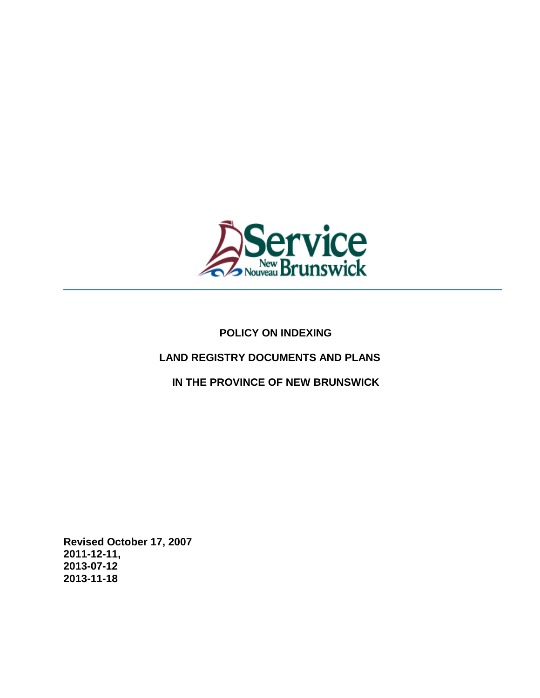

# **POLICY ON INDEXING**

## **LAND REGISTRY DOCUMENTS AND PLANS**

 **IN THE PROVINCE OF NEW BRUNSWICK** 

**Revised October 17, 2007 2011-12-11, 2013-07-12 2013-11-18**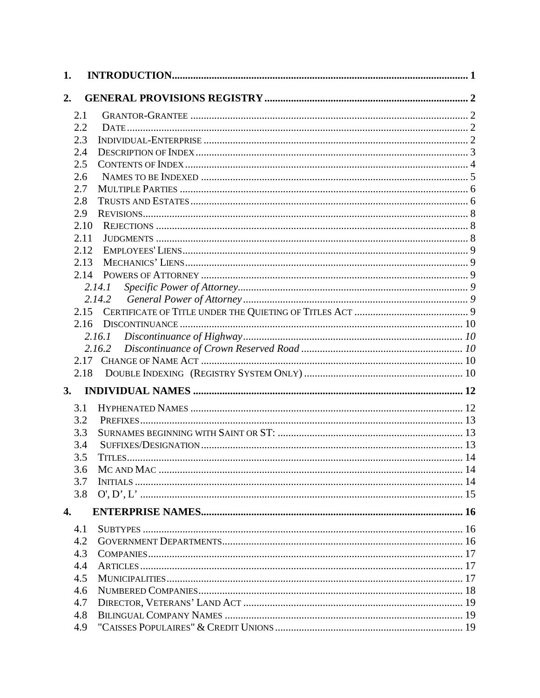| 2.<br>2.1<br>2.2<br>2.3<br>2.4<br>2.5<br>2.6<br>2.7<br>2.8<br>2.9<br>2.10<br>2.11<br>2.12<br>2.13<br>2.14<br>2.14.1<br>2.15<br>2.16<br>2.16.2<br>2.17<br>2.18<br>3.<br>3.1<br>3.2<br>3.3<br>3.4<br>3.5<br>3.6<br>3.7<br>3.8<br>4.<br>4.1<br>4.2<br>4.3<br>4.4<br>4.5<br>4.6<br>4.7<br>4.8 | 1. |     |  |
|-------------------------------------------------------------------------------------------------------------------------------------------------------------------------------------------------------------------------------------------------------------------------------------------|----|-----|--|
|                                                                                                                                                                                                                                                                                           |    |     |  |
|                                                                                                                                                                                                                                                                                           |    |     |  |
|                                                                                                                                                                                                                                                                                           |    |     |  |
|                                                                                                                                                                                                                                                                                           |    |     |  |
|                                                                                                                                                                                                                                                                                           |    |     |  |
|                                                                                                                                                                                                                                                                                           |    |     |  |
|                                                                                                                                                                                                                                                                                           |    |     |  |
|                                                                                                                                                                                                                                                                                           |    |     |  |
|                                                                                                                                                                                                                                                                                           |    |     |  |
|                                                                                                                                                                                                                                                                                           |    |     |  |
|                                                                                                                                                                                                                                                                                           |    |     |  |
|                                                                                                                                                                                                                                                                                           |    |     |  |
|                                                                                                                                                                                                                                                                                           |    |     |  |
|                                                                                                                                                                                                                                                                                           |    |     |  |
|                                                                                                                                                                                                                                                                                           |    |     |  |
|                                                                                                                                                                                                                                                                                           |    |     |  |
|                                                                                                                                                                                                                                                                                           |    |     |  |
|                                                                                                                                                                                                                                                                                           |    |     |  |
|                                                                                                                                                                                                                                                                                           |    |     |  |
|                                                                                                                                                                                                                                                                                           |    |     |  |
|                                                                                                                                                                                                                                                                                           |    |     |  |
|                                                                                                                                                                                                                                                                                           |    |     |  |
|                                                                                                                                                                                                                                                                                           |    |     |  |
|                                                                                                                                                                                                                                                                                           |    |     |  |
|                                                                                                                                                                                                                                                                                           |    |     |  |
|                                                                                                                                                                                                                                                                                           |    |     |  |
|                                                                                                                                                                                                                                                                                           |    |     |  |
|                                                                                                                                                                                                                                                                                           |    |     |  |
|                                                                                                                                                                                                                                                                                           |    |     |  |
|                                                                                                                                                                                                                                                                                           |    |     |  |
|                                                                                                                                                                                                                                                                                           |    |     |  |
|                                                                                                                                                                                                                                                                                           |    |     |  |
|                                                                                                                                                                                                                                                                                           |    |     |  |
|                                                                                                                                                                                                                                                                                           |    |     |  |
|                                                                                                                                                                                                                                                                                           |    |     |  |
|                                                                                                                                                                                                                                                                                           |    |     |  |
|                                                                                                                                                                                                                                                                                           |    |     |  |
|                                                                                                                                                                                                                                                                                           |    |     |  |
|                                                                                                                                                                                                                                                                                           |    |     |  |
|                                                                                                                                                                                                                                                                                           |    |     |  |
|                                                                                                                                                                                                                                                                                           |    |     |  |
|                                                                                                                                                                                                                                                                                           |    |     |  |
|                                                                                                                                                                                                                                                                                           |    | 4.9 |  |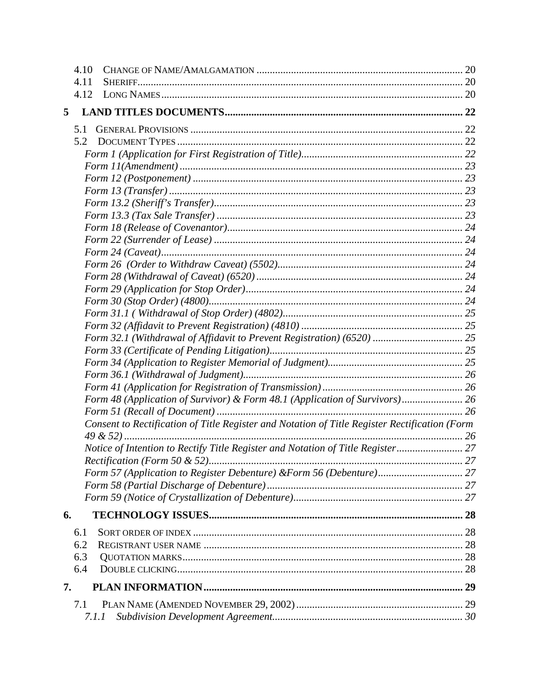| 4.11<br>4.12<br>5<br>5.1<br>5.2<br>Form 32.1 (Withdrawal of Affidavit to Prevent Registration) (6520)  25<br>Form 48 (Application of Survivor) & Form 48.1 (Application of Survivors) 26<br>Consent to Rectification of Title Register and Notation of Title Register Rectification (Form<br>Notice of Intention to Rectify Title Register and Notation of Title Register 27<br>6.<br>6.1<br>6.2<br>6.3<br>6.4<br>7.<br>7.1 | 4.10  |  |
|-----------------------------------------------------------------------------------------------------------------------------------------------------------------------------------------------------------------------------------------------------------------------------------------------------------------------------------------------------------------------------------------------------------------------------|-------|--|
|                                                                                                                                                                                                                                                                                                                                                                                                                             |       |  |
|                                                                                                                                                                                                                                                                                                                                                                                                                             |       |  |
|                                                                                                                                                                                                                                                                                                                                                                                                                             |       |  |
|                                                                                                                                                                                                                                                                                                                                                                                                                             |       |  |
|                                                                                                                                                                                                                                                                                                                                                                                                                             |       |  |
|                                                                                                                                                                                                                                                                                                                                                                                                                             |       |  |
|                                                                                                                                                                                                                                                                                                                                                                                                                             |       |  |
|                                                                                                                                                                                                                                                                                                                                                                                                                             |       |  |
|                                                                                                                                                                                                                                                                                                                                                                                                                             |       |  |
|                                                                                                                                                                                                                                                                                                                                                                                                                             |       |  |
|                                                                                                                                                                                                                                                                                                                                                                                                                             |       |  |
|                                                                                                                                                                                                                                                                                                                                                                                                                             |       |  |
|                                                                                                                                                                                                                                                                                                                                                                                                                             |       |  |
|                                                                                                                                                                                                                                                                                                                                                                                                                             |       |  |
|                                                                                                                                                                                                                                                                                                                                                                                                                             |       |  |
|                                                                                                                                                                                                                                                                                                                                                                                                                             |       |  |
|                                                                                                                                                                                                                                                                                                                                                                                                                             |       |  |
|                                                                                                                                                                                                                                                                                                                                                                                                                             |       |  |
|                                                                                                                                                                                                                                                                                                                                                                                                                             |       |  |
|                                                                                                                                                                                                                                                                                                                                                                                                                             |       |  |
|                                                                                                                                                                                                                                                                                                                                                                                                                             |       |  |
|                                                                                                                                                                                                                                                                                                                                                                                                                             |       |  |
|                                                                                                                                                                                                                                                                                                                                                                                                                             |       |  |
|                                                                                                                                                                                                                                                                                                                                                                                                                             |       |  |
|                                                                                                                                                                                                                                                                                                                                                                                                                             |       |  |
|                                                                                                                                                                                                                                                                                                                                                                                                                             |       |  |
|                                                                                                                                                                                                                                                                                                                                                                                                                             |       |  |
|                                                                                                                                                                                                                                                                                                                                                                                                                             |       |  |
|                                                                                                                                                                                                                                                                                                                                                                                                                             |       |  |
|                                                                                                                                                                                                                                                                                                                                                                                                                             |       |  |
|                                                                                                                                                                                                                                                                                                                                                                                                                             |       |  |
|                                                                                                                                                                                                                                                                                                                                                                                                                             |       |  |
|                                                                                                                                                                                                                                                                                                                                                                                                                             |       |  |
|                                                                                                                                                                                                                                                                                                                                                                                                                             |       |  |
|                                                                                                                                                                                                                                                                                                                                                                                                                             |       |  |
|                                                                                                                                                                                                                                                                                                                                                                                                                             |       |  |
|                                                                                                                                                                                                                                                                                                                                                                                                                             |       |  |
|                                                                                                                                                                                                                                                                                                                                                                                                                             |       |  |
|                                                                                                                                                                                                                                                                                                                                                                                                                             |       |  |
|                                                                                                                                                                                                                                                                                                                                                                                                                             |       |  |
|                                                                                                                                                                                                                                                                                                                                                                                                                             |       |  |
|                                                                                                                                                                                                                                                                                                                                                                                                                             | 7.1.1 |  |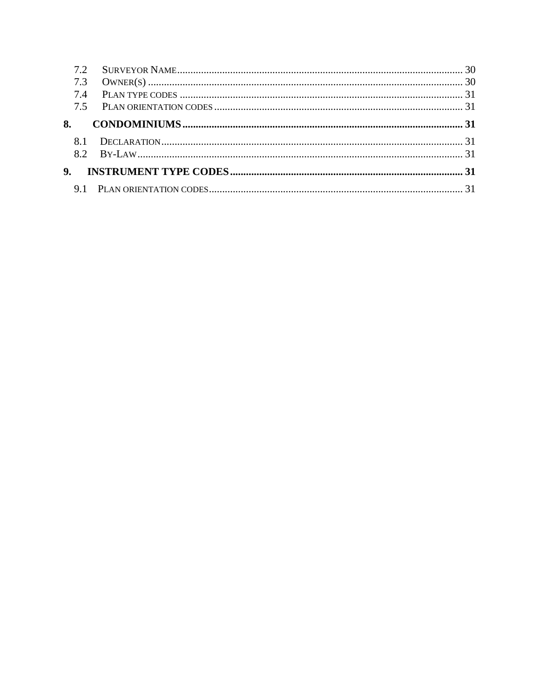| 7.3            |  |
|----------------|--|
| 74             |  |
| 7.5            |  |
| 8.             |  |
|                |  |
|                |  |
| 9 <sub>1</sub> |  |
| 9.1            |  |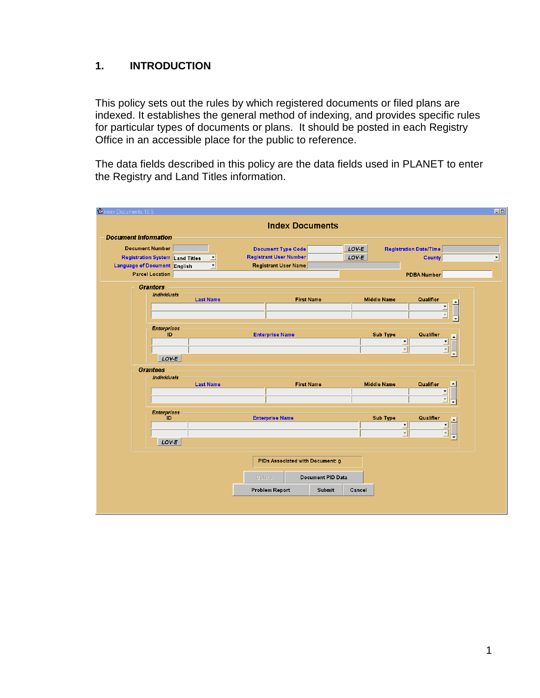## <span id="page-4-0"></span>**1. INTRODUCTION**

This policy sets out the rules by which registered documents or filed plans are indexed. It establishes the general method of indexing, and provides specific rules for particular types of documents or plans. It should be posted in each Registry Office in an accessible place for the public to reference.

The data fields described in this policy are the data fields used in PLANET to enter the Registry and Land Titles information.

|                                                             | <b>Index Documents</b>                 |                                                     |
|-------------------------------------------------------------|----------------------------------------|-----------------------------------------------------|
| <b>Document Information</b>                                 |                                        |                                                     |
| <b>Document Number</b>                                      | <b>Document Type Code</b>              | LOV-E<br><b>Registration Date/Time</b>              |
| Registration System Land Titles<br>⊻                        | <b>Registrant User Number</b>          | LOV-E<br>County                                     |
| $\blacktriangledown$<br><b>Language of Document English</b> | <b>Registrant User Name</b>            |                                                     |
| <b>Parcel Location</b>                                      |                                        | <b>PDBA Number</b>                                  |
| <b>Grantors</b>                                             |                                        |                                                     |
| Individuals                                                 |                                        |                                                     |
| <b>Last Name</b>                                            | <b>First Name</b>                      | Qualifier<br><b>Middle Name</b><br>$\blacktriangle$ |
|                                                             |                                        |                                                     |
|                                                             |                                        |                                                     |
| <b>Enterprises</b><br>ID.                                   | <b>Enterprise Name</b>                 | Sub Type<br>Qualifier                               |
|                                                             |                                        | 그                                                   |
|                                                             |                                        | $\overline{\phantom{a}}$                            |
| LOV-E                                                       |                                        |                                                     |
| <b>Grantees</b>                                             |                                        |                                                     |
| <b>Individuals</b><br><b>Last Name</b>                      | <b>First Name</b>                      | <b>Middle Name</b><br>Qualifier                     |
|                                                             |                                        |                                                     |
|                                                             |                                        |                                                     |
| <b>Enterprises</b>                                          |                                        |                                                     |
| ID                                                          | <b>Enterprise Name</b>                 | Sub Type<br>Qualifier                               |
|                                                             |                                        | ⊡                                                   |
|                                                             |                                        | $\overline{\phantom{a}}$                            |
| LOV-E                                                       |                                        |                                                     |
|                                                             | PIDs Associated with Document: 0       |                                                     |
|                                                             |                                        |                                                     |
|                                                             | Document PID Data<br><b>Delete</b>     |                                                     |
|                                                             | <b>Problem Report</b><br><b>Submit</b> | Cancel                                              |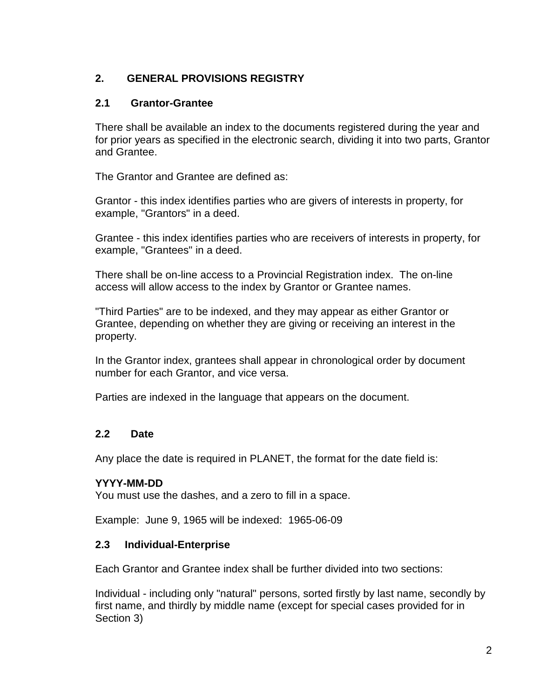# <span id="page-5-0"></span>**2. GENERAL PROVISIONS REGISTRY**

## <span id="page-5-1"></span>**2.1 Grantor-Grantee**

There shall be available an index to the documents registered during the year and for prior years as specified in the electronic search, dividing it into two parts, Grantor and Grantee.

The Grantor and Grantee are defined as:

Grantor - this index identifies parties who are givers of interests in property, for example, "Grantors" in a deed.

Grantee - this index identifies parties who are receivers of interests in property, for example, "Grantees" in a deed.

There shall be on-line access to a Provincial Registration index. The on-line access will allow access to the index by Grantor or Grantee names.

"Third Parties" are to be indexed, and they may appear as either Grantor or Grantee, depending on whether they are giving or receiving an interest in the property.

In the Grantor index, grantees shall appear in chronological order by document number for each Grantor, and vice versa.

Parties are indexed in the language that appears on the document.

## <span id="page-5-2"></span>**2.2 Date**

Any place the date is required in PLANET, the format for the date field is:

## **YYYY-MM-DD**

You must use the dashes, and a zero to fill in a space.

Example: June 9, 1965 will be indexed: 1965-06-09

#### <span id="page-5-3"></span>**2.3 Individual-Enterprise**

Each Grantor and Grantee index shall be further divided into two sections:

Individual - including only "natural" persons, sorted firstly by last name, secondly by first name, and thirdly by middle name (except for special cases provided for in Section 3)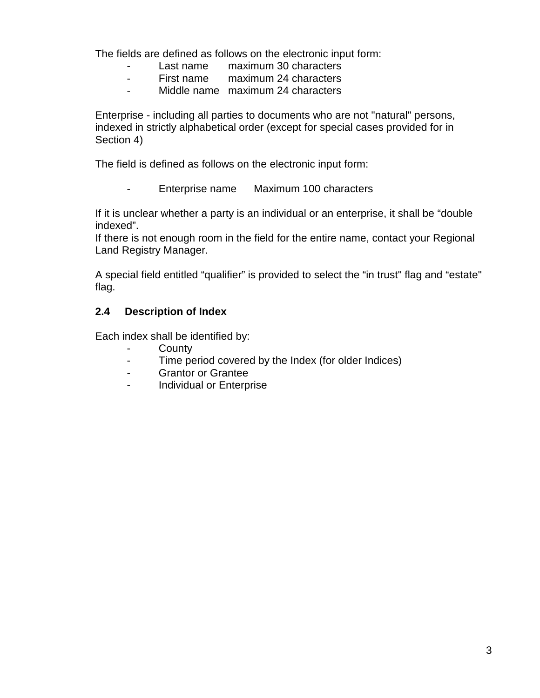The fields are defined as follows on the electronic input form:

- Last name maximum 30 characters
- First name maximum 24 characters
- Middle name maximum 24 characters

Enterprise - including all parties to documents who are not "natural" persons, indexed in strictly alphabetical order (except for special cases provided for in Section 4)

The field is defined as follows on the electronic input form:

- Enterprise name Maximum 100 characters

If it is unclear whether a party is an individual or an enterprise, it shall be "double indexed".

If there is not enough room in the field for the entire name, contact your Regional Land Registry Manager.

A special field entitled "qualifier" is provided to select the "in trust" flag and "estate" flag.

## <span id="page-6-0"></span>**2.4 Description of Index**

Each index shall be identified by:

- **County**
- Time period covered by the Index (for older Indices)
- Grantor or Grantee
- Individual or Enterprise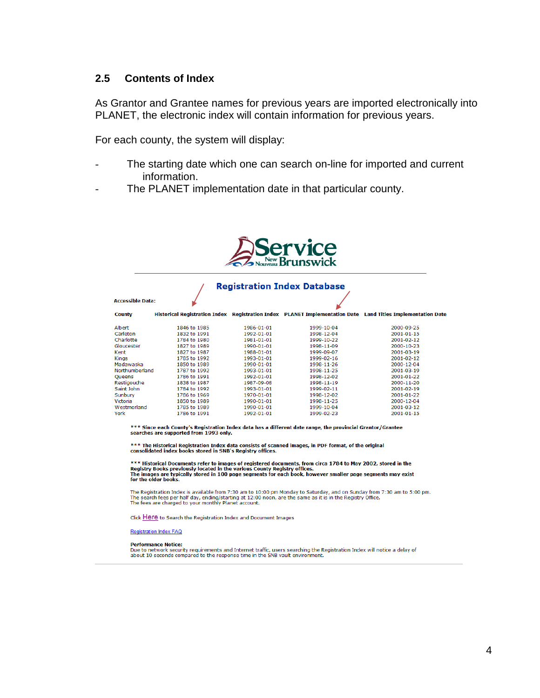#### <span id="page-7-0"></span>**2.5 Contents of Index**

As Grantor and Grantee names for previous years are imported electronically into PLANET, the electronic index will contain information for previous years.

For each county, the system will display:

- The starting date which one can search on-line for imported and current information.
- The PLANET implementation date in that particular county.



# **Registration Index Database**

#### **Accessible Data:**

| County         |              |            |            | Historical Registration Index Registration Index PLANET Implementation Date Land Titles Implementation Date |
|----------------|--------------|------------|------------|-------------------------------------------------------------------------------------------------------------|
| Albert         | 1846 to 1985 | 1986-01-01 | 1999-10-04 | 2000-09-25                                                                                                  |
| Carleton       | 1832 to 1991 | 1992-01-01 | 1998-12-04 | 2001-01-15                                                                                                  |
| Charlotte      | 1784 to 1980 | 1981-01-01 | 1999-10-22 | 2001-02-12                                                                                                  |
| Gloucester     | 1827 to 1989 | 1990-01-01 | 1998-11-09 | 2000-10-23                                                                                                  |
| Kent           | 1827 to 1987 | 1988-01-01 | 1999-09-07 | 2001-03-19                                                                                                  |
| Kings          | 1785 to 1992 | 1993-01-01 | 1999-02-16 | 2001-02-12                                                                                                  |
| Madawaska      | 1850 to 1989 | 1990-01-01 | 1998-11-26 | 2000-12-04                                                                                                  |
| Northumberland | 1787 to 1992 | 1993-01-01 | 1998-11-25 | 2001-03-19                                                                                                  |
| Queens         | 1786 to 1991 | 1992-01-01 | 1998-12-02 | 2001-01-22                                                                                                  |
| Restiaouche    | 1838 to 1987 | 1987-09-08 | 1998-11-19 | 2000-11-20                                                                                                  |
| Saint John     | 1784 to 1992 | 1993-01-01 | 1999-02-11 | 2001-02-19                                                                                                  |
| Sunburv        | 1786 to 1969 | 1970-01-01 | 1998-12-02 | 2001-01-22                                                                                                  |
| Victoria       | 1850 to 1989 | 1990-01-01 | 1998-11-25 | 2000-12-04                                                                                                  |
| Westmorland    | 1785 to 1989 | 1990-01-01 | 1999-10-04 | 2001-03-12                                                                                                  |
| York           | 1786 to 1991 | 1992-01-01 | 1999-02-23 | 2001-01-15                                                                                                  |

\*\*\* Since each County's Registration Index data has a different date range, the provincial Grantor/Grantee<br>searches are supported from 1993 only.

 $***$  The Historical Registration Index data consists of scanned images, in PDF format, of the original consolidated index books stored in SNB's Registry offices.

\*\*\* Historical Documents refer to images of registered documents, from circa 1784 to May 2002, stored in the<br>Registry Books previously located in the various County Registry offices.<br>The images are typically stored in 100

The Registration Index is available from 7:30 am to 10:00 pm Monday to Saturday, and on Sunday from 7:30 am to 5:00 pm.<br>The search fees per half day, ending/starting at 12:00 noon, are the same as it is in the Registry Off

Click Here to Search the Registration Index and Document Images

#### Registration Index FAQ

#### **Performance Notice:**

Pue to network security requirements and Internet traffic, users searching the Registration Index will notice a delay of about 10 seconds compared to the response time in the SNB vault environment.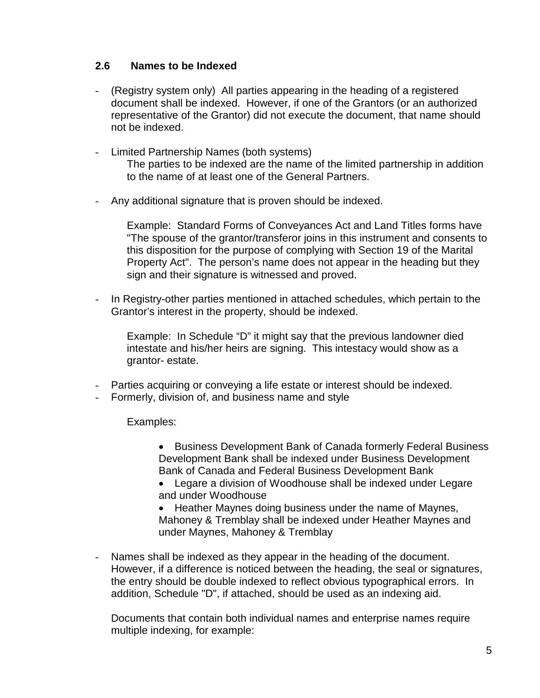## <span id="page-8-0"></span>**2.6 Names to be Indexed**

- (Registry system only) All parties appearing in the heading of a registered document shall be indexed. However, if one of the Grantors (or an authorized representative of the Grantor) did not execute the document, that name should not be indexed.
- Limited Partnership Names (both systems) The parties to be indexed are the name of the limited partnership in addition to the name of at least one of the General Partners.
- Any additional signature that is proven should be indexed.

Example: Standard Forms of Conveyances Act and Land Titles forms have "The spouse of the grantor/transferor joins in this instrument and consents to this disposition for the purpose of complying with Section 19 of the Marital Property Act". The person's name does not appear in the heading but they sign and their signature is witnessed and proved.

- In Registry-other parties mentioned in attached schedules, which pertain to the Grantor's interest in the property, should be indexed.
	- Example: In Schedule "D" it might say that the previous landowner died intestate and his/her heirs are signing. This intestacy would show as a grantor- estate.
- Parties acquiring or conveying a life estate or interest should be indexed.
- Formerly, division of, and business name and style

Examples:

- Business Development Bank of Canada formerly Federal Business Development Bank shall be indexed under Business Development Bank of Canada and Federal Business Development Bank
- Legare a division of Woodhouse shall be indexed under Legare and under Woodhouse

• Heather Maynes doing business under the name of Maynes, Mahoney & Tremblay shall be indexed under Heather Maynes and under Maynes, Mahoney & Tremblay

- Names shall be indexed as they appear in the heading of the document. However, if a difference is noticed between the heading, the seal or signatures, the entry should be double indexed to reflect obvious typographical errors. In addition, Schedule "D", if attached, should be used as an indexing aid.

Documents that contain both individual names and enterprise names require multiple indexing, for example: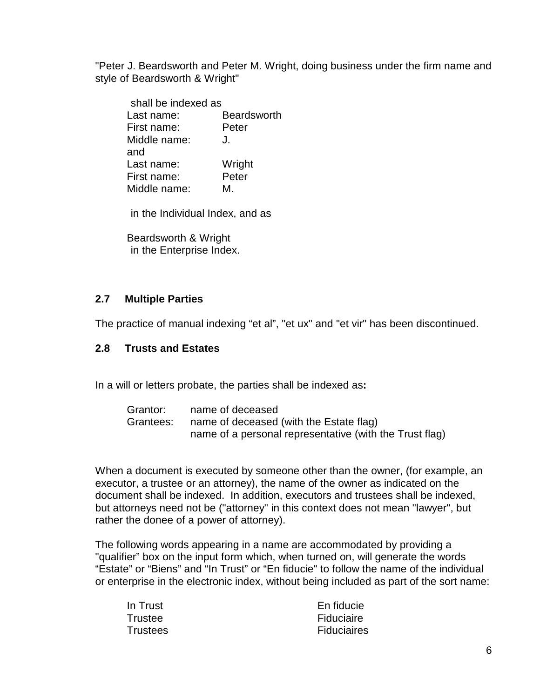"Peter J. Beardsworth and Peter M. Wright, doing business under the firm name and style of Beardsworth & Wright"

| shall be indexed as |                    |
|---------------------|--------------------|
| Last name:          | <b>Beardsworth</b> |
| First name:         | Peter              |
| Middle name:        | J.                 |
| and                 |                    |
| Last name:          | Wright             |
| First name:         | Peter              |
| Middle name:        | M.                 |

in the Individual Index, and as

Beardsworth & Wright in the Enterprise Index.

#### <span id="page-9-0"></span>**2.7 Multiple Parties**

The practice of manual indexing "et al", "et ux" and "et vir" has been discontinued.

## <span id="page-9-1"></span>**2.8 Trusts and Estates**

In a will or letters probate, the parties shall be indexed as**:**

| Grantor:  | name of deceased                                        |
|-----------|---------------------------------------------------------|
| Grantees: | name of deceased (with the Estate flag)                 |
|           | name of a personal representative (with the Trust flag) |

When a document is executed by someone other than the owner, (for example, an executor, a trustee or an attorney), the name of the owner as indicated on the document shall be indexed. In addition, executors and trustees shall be indexed, but attorneys need not be ("attorney" in this context does not mean "lawyer", but rather the donee of a power of attorney).

The following words appearing in a name are accommodated by providing a "qualifier" box on the input form which, when turned on, will generate the words "Estate" or "Biens" and "In Trust" or "En fiducie" to follow the name of the individual or enterprise in the electronic index, without being included as part of the sort name:

| In Trust | En fiducie         |
|----------|--------------------|
| Trustee  | Fiduciaire         |
| Trustees | <b>Fiduciaires</b> |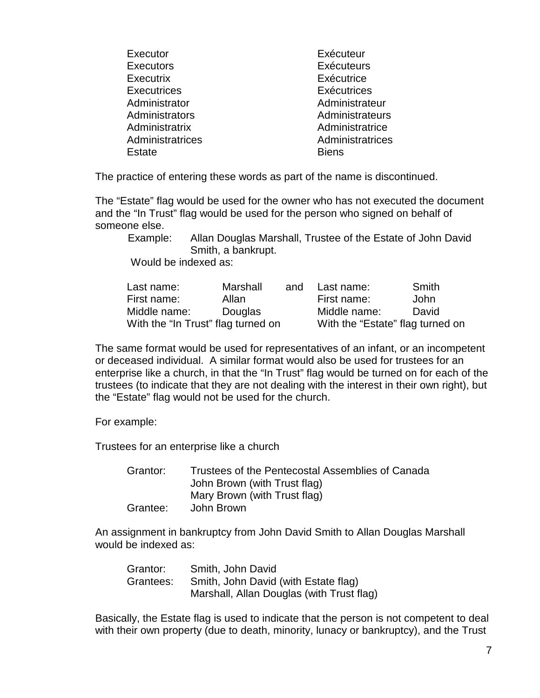| Executor           | Exécuteur         |
|--------------------|-------------------|
| <b>Executors</b>   | <b>Exécuteurs</b> |
| Executrix          | Exécutrice        |
| <b>Executrices</b> | Exécutrices       |
| Administrator      | Administrateur    |
| Administrators     | Administrateurs   |
| Administratrix     | Administratrice   |
| Administratrices   | Administratrices  |
| Estate             | <b>Biens</b>      |
|                    |                   |

The practice of entering these words as part of the name is discontinued.

The "Estate" flag would be used for the owner who has not executed the document and the "In Trust" flag would be used for the person who signed on behalf of someone else.

 Example: Allan Douglas Marshall, Trustee of the Estate of John David Smith, a bankrupt.

Would be indexed as:

| Last name:                         | Marshall       | and | Last name:                       | Smith |
|------------------------------------|----------------|-----|----------------------------------|-------|
| First name:                        | Allan          |     | First name:                      | John  |
| Middle name:                       | <b>Douglas</b> |     | Middle name:                     | David |
| With the "In Trust" flag turned on |                |     | With the "Estate" flag turned on |       |

The same format would be used for representatives of an infant, or an incompetent or deceased individual. A similar format would also be used for trustees for an enterprise like a church, in that the "In Trust" flag would be turned on for each of the trustees (to indicate that they are not dealing with the interest in their own right), but the "Estate" flag would not be used for the church.

For example:

Trustees for an enterprise like a church

Grantor: Trustees of the Pentecostal Assemblies of Canada John Brown (with Trust flag) Mary Brown (with Trust flag) Grantee: John Brown

An assignment in bankruptcy from John David Smith to Allan Douglas Marshall would be indexed as:

| Grantor:  | Smith, John David                         |
|-----------|-------------------------------------------|
| Grantees: | Smith, John David (with Estate flag)      |
|           | Marshall, Allan Douglas (with Trust flag) |

Basically, the Estate flag is used to indicate that the person is not competent to deal with their own property (due to death, minority, lunacy or bankruptcy), and the Trust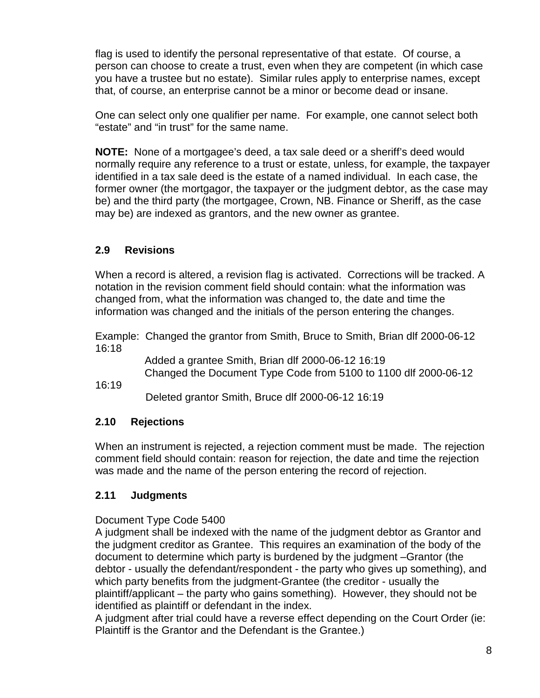flag is used to identify the personal representative of that estate. Of course, a person can choose to create a trust, even when they are competent (in which case you have a trustee but no estate). Similar rules apply to enterprise names, except that, of course, an enterprise cannot be a minor or become dead or insane.

One can select only one qualifier per name. For example, one cannot select both "estate" and "in trust" for the same name.

**NOTE:** None of a mortgagee's deed, a tax sale deed or a sheriff's deed would normally require any reference to a trust or estate, unless, for example, the taxpayer identified in a tax sale deed is the estate of a named individual. In each case, the former owner (the mortgagor, the taxpayer or the judgment debtor, as the case may be) and the third party (the mortgagee, Crown, NB. Finance or Sheriff, as the case may be) are indexed as grantors, and the new owner as grantee.

# <span id="page-11-0"></span>**2.9 Revisions**

When a record is altered, a revision flag is activated. Corrections will be tracked. A notation in the revision comment field should contain: what the information was changed from, what the information was changed to, the date and time the information was changed and the initials of the person entering the changes.

Example: Changed the grantor from Smith, Bruce to Smith, Brian dlf 2000-06-12 16:18

> Added a grantee Smith, Brian dlf 2000-06-12 16:19 Changed the Document Type Code from 5100 to 1100 dlf 2000-06-12

16:19

Deleted grantor Smith, Bruce dlf 2000-06-12 16:19

## <span id="page-11-1"></span>**2.10 Rejections**

When an instrument is rejected, a rejection comment must be made. The rejection comment field should contain: reason for rejection, the date and time the rejection was made and the name of the person entering the record of rejection.

## <span id="page-11-2"></span>**2.11 Judgments**

Document Type Code 5400

A judgment shall be indexed with the name of the judgment debtor as Grantor and the judgment creditor as Grantee. This requires an examination of the body of the document to determine which party is burdened by the judgment –Grantor (the debtor - usually the defendant/respondent - the party who gives up something), and which party benefits from the judgment-Grantee (the creditor - usually the plaintiff/applicant – the party who gains something). However, they should not be identified as plaintiff or defendant in the index.

A judgment after trial could have a reverse effect depending on the Court Order (ie: Plaintiff is the Grantor and the Defendant is the Grantee.)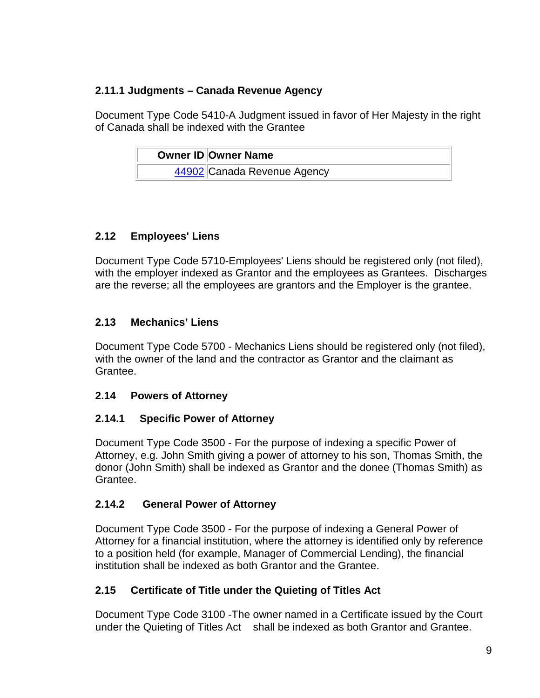# **2.11.1 Judgments – Canada Revenue Agency**

Document Type Code 5410-A Judgment issued in favor of Her Majesty in the right of Canada shall be indexed with the Grantee

| Owner ID Owner Name         |
|-----------------------------|
| 44902 Canada Revenue Agency |

# <span id="page-12-0"></span>**2.12 Employees' Liens**

Document Type Code 5710-Employees' Liens should be registered only (not filed), with the employer indexed as Grantor and the employees as Grantees. Discharges are the reverse; all the employees are grantors and the Employer is the grantee.

# <span id="page-12-1"></span>**2.13 Mechanics' Liens**

Document Type Code 5700 - Mechanics Liens should be registered only (not filed), with the owner of the land and the contractor as Grantor and the claimant as Grantee.

## <span id="page-12-2"></span>**2.14 Powers of Attorney**

# <span id="page-12-3"></span>**2.14.1 Specific Power of Attorney**

Document Type Code 3500 - For the purpose of indexing a specific Power of Attorney, e.g. John Smith giving a power of attorney to his son, Thomas Smith, the donor (John Smith) shall be indexed as Grantor and the donee (Thomas Smith) as Grantee.

# <span id="page-12-4"></span>**2.14.2 General Power of Attorney**

Document Type Code 3500 - For the purpose of indexing a General Power of Attorney for a financial institution, where the attorney is identified only by reference to a position held (for example, Manager of Commercial Lending), the financial institution shall be indexed as both Grantor and the Grantee.

## <span id="page-12-5"></span>**2.15 Certificate of Title under the Quieting of Titles Act**

Document Type Code 3100 -The owner named in a Certificate issued by the Court under the Quieting of Titles Act shall be indexed as both Grantor and Grantee.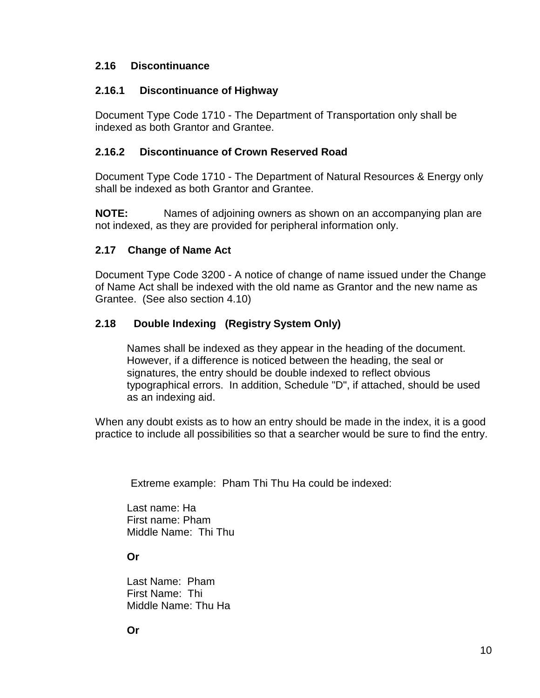## <span id="page-13-0"></span>**2.16 Discontinuance**

## <span id="page-13-1"></span>**2.16.1 Discontinuance of Highway**

Document Type Code 1710 - The Department of Transportation only shall be indexed as both Grantor and Grantee.

## <span id="page-13-2"></span>**2.16.2 Discontinuance of Crown Reserved Road**

Document Type Code 1710 - The Department of Natural Resources & Energy only shall be indexed as both Grantor and Grantee.

**NOTE:** Names of adjoining owners as shown on an accompanying plan are not indexed, as they are provided for peripheral information only.

## <span id="page-13-3"></span>**2.17 Change of Name Act**

Document Type Code 3200 - A notice of change of name issued under the Change of Name Act shall be indexed with the old name as Grantor and the new name as Grantee. (See also section 4.10)

## <span id="page-13-4"></span>**2.18 Double Indexing (Registry System Only)**

Names shall be indexed as they appear in the heading of the document. However, if a difference is noticed between the heading, the seal or signatures, the entry should be double indexed to reflect obvious typographical errors. In addition, Schedule "D", if attached, should be used as an indexing aid.

When any doubt exists as to how an entry should be made in the index, it is a good practice to include all possibilities so that a searcher would be sure to find the entry.

Extreme example: Pham Thi Thu Ha could be indexed:

Last name: Ha First name: Pham Middle Name: Thi Thu

#### **Or**

Last Name: Pham First Name: Thi Middle Name: Thu Ha

**Or**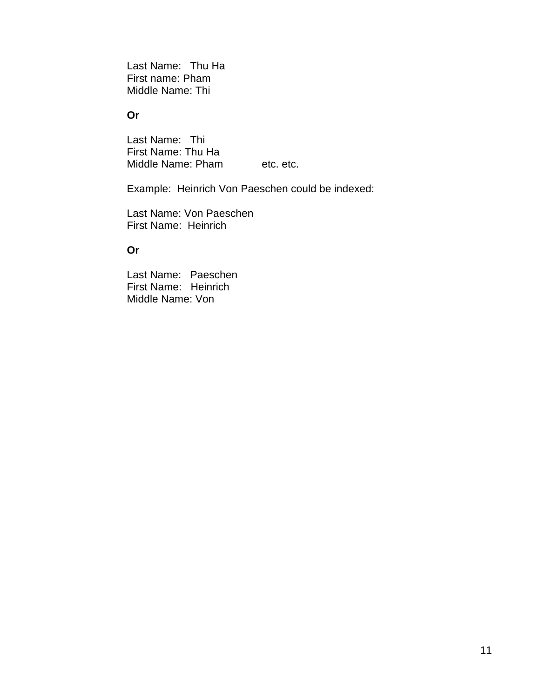Last Name: Thu Ha First name: Pham Middle Name: Thi

#### **Or**

Last Name: Thi First Name: Thu Ha Middle Name: Pham etc. etc.

Example: Heinrich Von Paeschen could be indexed:

Last Name: Von Paeschen First Name: Heinrich

#### **Or**

Last Name: Paeschen First Name: Heinrich Middle Name: Von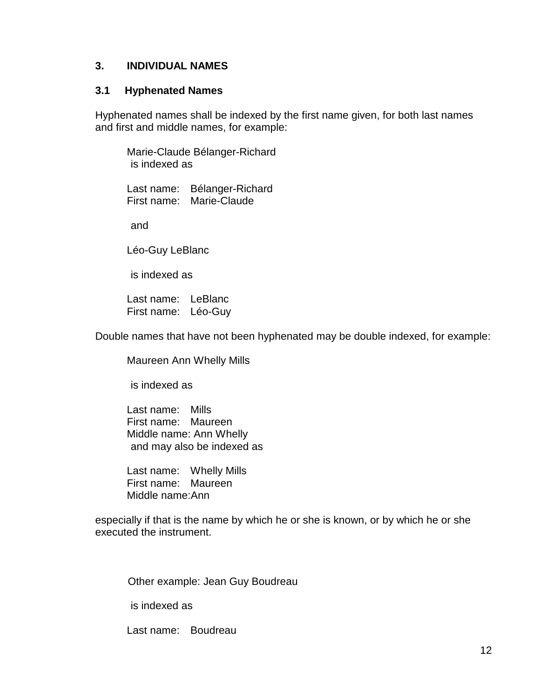#### <span id="page-15-0"></span>**3. INDIVIDUAL NAMES**

#### <span id="page-15-1"></span>**3.1 Hyphenated Names**

Hyphenated names shall be indexed by the first name given, for both last names and first and middle names, for example:

Marie-Claude Bélanger-Richard is indexed as

Last name: Bélanger-Richard First name: Marie-Claude

and

Léo-Guy LeBlanc

is indexed as

Last name: LeBlanc First name: Léo-Guy

Double names that have not been hyphenated may be double indexed, for example:

Maureen Ann Whelly Mills

is indexed as

Last name: Mills First name: Maureen Middle name: Ann Whelly and may also be indexed as

Last name: Whelly Mills First name: Maureen Middle name:Ann

especially if that is the name by which he or she is known, or by which he or she executed the instrument.

Other example: Jean Guy Boudreau

is indexed as

Last name: Boudreau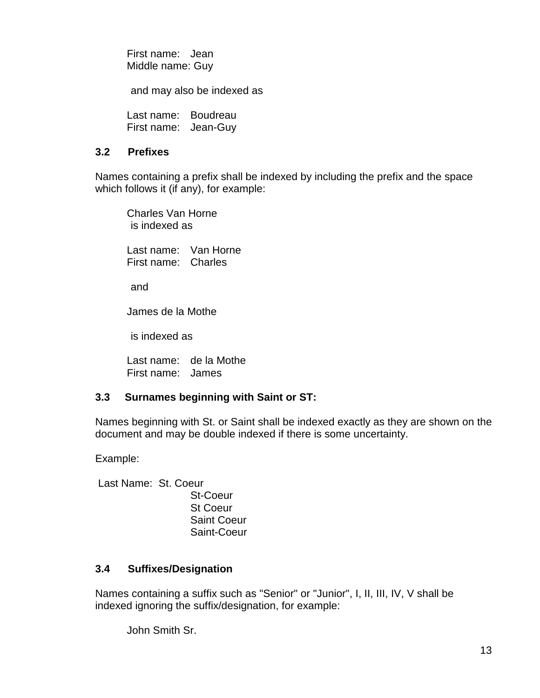First name: Jean Middle name: Guy

and may also be indexed as

Last name: Boudreau First name: Jean-Guy

## <span id="page-16-0"></span>**3.2 Prefixes**

Names containing a prefix shall be indexed by including the prefix and the space which follows it (if any), for example:

Charles Van Horne is indexed as

Last name: Van Horne First name: Charles

and

James de la Mothe

is indexed as

Last name: de la Mothe First name: James

## <span id="page-16-1"></span>**3.3 Surnames beginning with Saint or ST:**

Names beginning with St. or Saint shall be indexed exactly as they are shown on the document and may be double indexed if there is some uncertainty.

Example:

Last Name: St. Coeur St-Coeur St Coeur Saint Coeur Saint-Coeur

## <span id="page-16-2"></span>**3.4 Suffixes/Designation**

Names containing a suffix such as "Senior" or "Junior", I, II, III, IV, V shall be indexed ignoring the suffix/designation, for example:

John Smith Sr.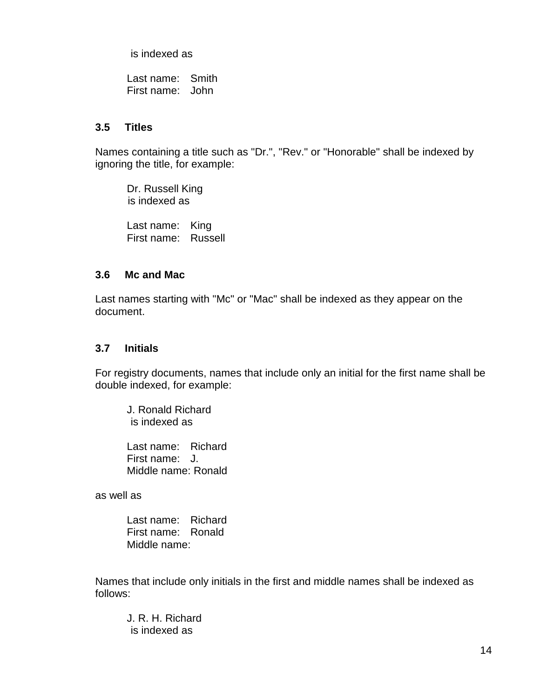is indexed as

Last name: Smith First name: John

#### <span id="page-17-0"></span>**3.5 Titles**

Names containing a title such as "Dr.", "Rev." or "Honorable" shall be indexed by ignoring the title, for example:

Dr. Russell King is indexed as

Last name: King First name: Russell

#### <span id="page-17-1"></span>**3.6 Mc and Mac**

Last names starting with "Mc" or "Mac" shall be indexed as they appear on the document.

#### <span id="page-17-2"></span>**3.7 Initials**

For registry documents, names that include only an initial for the first name shall be double indexed, for example:

J. Ronald Richard is indexed as

Last name: Richard First name: J. Middle name: Ronald

as well as

Last name: Richard First name: Ronald Middle name:

Names that include only initials in the first and middle names shall be indexed as follows:

J. R. H. Richard is indexed as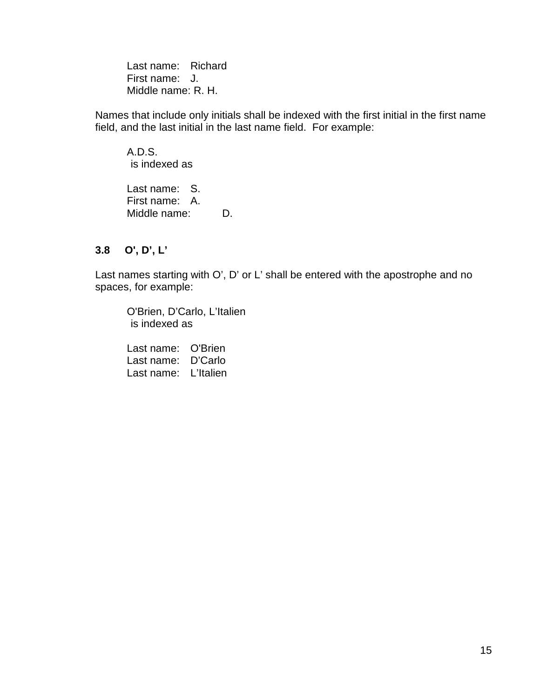Last name: Richard First name: J. Middle name: R. H.

Names that include only initials shall be indexed with the first initial in the first name field, and the last initial in the last name field. For example:

A.D.S. is indexed as

Last name: S. First name: A. Middle name: D.

## <span id="page-18-0"></span>**3.8 O', D', L'**

Last names starting with O', D' or L' shall be entered with the apostrophe and no spaces, for example:

O'Brien, D'Carlo, L'Italien is indexed as

Last name: O'Brien Last name: D'Carlo Last name: L'Italien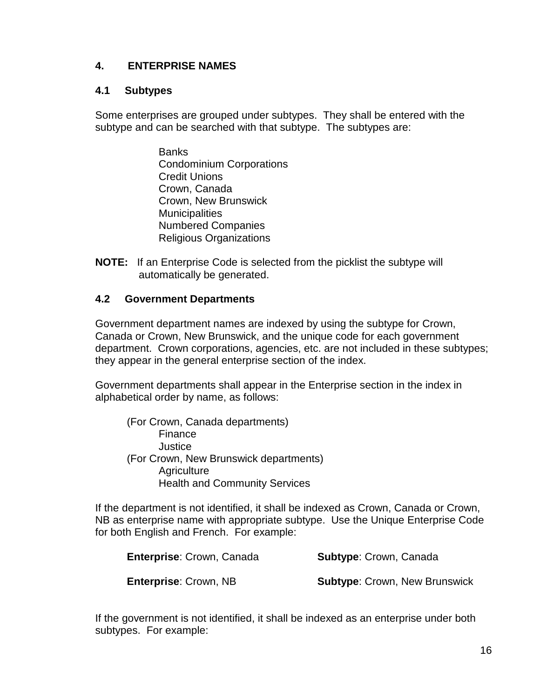## <span id="page-19-0"></span>**4. ENTERPRISE NAMES**

#### <span id="page-19-1"></span>**4.1 Subtypes**

Some enterprises are grouped under subtypes. They shall be entered with the subtype and can be searched with that subtype. The subtypes are:

- Banks Condominium Corporations Credit Unions Crown, Canada Crown, New Brunswick **Municipalities** Numbered Companies Religious Organizations
- **NOTE:** If an Enterprise Code is selected from the picklist the subtype will automatically be generated.

#### <span id="page-19-2"></span>**4.2 Government Departments**

Government department names are indexed by using the subtype for Crown, Canada or Crown, New Brunswick, and the unique code for each government department. Crown corporations, agencies, etc. are not included in these subtypes; they appear in the general enterprise section of the index.

Government departments shall appear in the Enterprise section in the index in alphabetical order by name, as follows:

(For Crown, Canada departments) Finance **Justice** (For Crown, New Brunswick departments) **Agriculture** Health and Community Services

If the department is not identified, it shall be indexed as Crown, Canada or Crown, NB as enterprise name with appropriate subtype. Use the Unique Enterprise Code for both English and French. For example:

| Enterprise: Crown, Canada    | <b>Subtype: Crown, Canada</b>        |
|------------------------------|--------------------------------------|
| <b>Enterprise: Crown, NB</b> | <b>Subtype: Crown, New Brunswick</b> |

If the government is not identified, it shall be indexed as an enterprise under both subtypes. For example: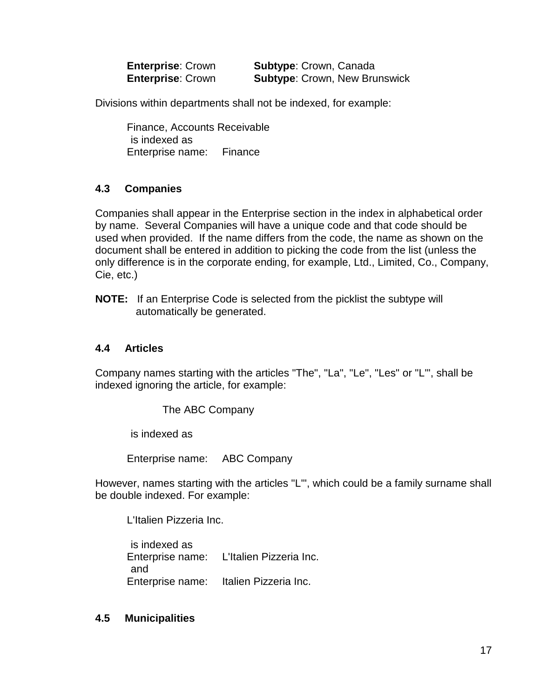**Enterprise**: Crown **Subtype**: Crown, Canada **Enterprise**: Crown **Subtype**: Crown, New Brunswick

Divisions within departments shall not be indexed, for example:

Finance, Accounts Receivable is indexed as Enterprise name: Finance

## <span id="page-20-0"></span>**4.3 Companies**

Companies shall appear in the Enterprise section in the index in alphabetical order by name. Several Companies will have a unique code and that code should be used when provided. If the name differs from the code, the name as shown on the document shall be entered in addition to picking the code from the list (unless the only difference is in the corporate ending, for example, Ltd., Limited, Co., Company, Cie, etc.)

**NOTE:** If an Enterprise Code is selected from the picklist the subtype will automatically be generated.

## <span id="page-20-1"></span>**4.4 Articles**

Company names starting with the articles "The", "La", "Le", "Les" or "L'", shall be indexed ignoring the article, for example:

The ABC Company

is indexed as

Enterprise name: ABC Company

However, names starting with the articles "L'", which could be a family surname shall be double indexed. For example:

L'Italien Pizzeria Inc.

 is indexed as Enterprise name: L'Italien Pizzeria Inc. and Enterprise name: Italien Pizzeria Inc.

#### <span id="page-20-2"></span>**4.5 Municipalities**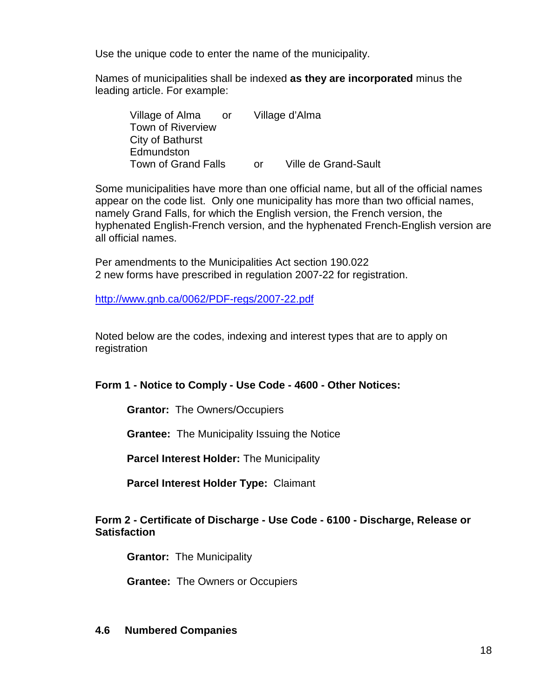Use the unique code to enter the name of the municipality.

Names of municipalities shall be indexed **as they are incorporated** minus the leading article. For example:

| Village of Alma            | or - |    | Village d'Alma              |
|----------------------------|------|----|-----------------------------|
| <b>Town of Riverview</b>   |      |    |                             |
| City of Bathurst           |      |    |                             |
| Edmundston                 |      |    |                             |
| <b>Town of Grand Falls</b> |      | Ωr | <b>Ville de Grand-Sault</b> |

Some municipalities have more than one official name, but all of the official names appear on the code list. Only one municipality has more than two official names, namely Grand Falls, for which the English version, the French version, the hyphenated English-French version, and the hyphenated French-English version are all official names.

Per amendments to the Municipalities Act section 190.022 2 new forms have prescribed in regulation 2007-22 for registration.

<http://www.gnb.ca/0062/PDF-regs/2007-22.pdf>

Noted below are the codes, indexing and interest types that are to apply on registration

**Form 1 - Notice to Comply - Use Code - 4600 - Other Notices:**

**Grantor:** The Owners/Occupiers

**Grantee:** The Municipality Issuing the Notice

**Parcel Interest Holder:** The Municipality

**Parcel Interest Holder Type:** Claimant

#### **Form 2 - Certificate of Discharge - Use Code - 6100 - Discharge, Release or Satisfaction**

**Grantor:** The Municipality

**Grantee:** The Owners or Occupiers

#### <span id="page-21-0"></span>**4.6 Numbered Companies**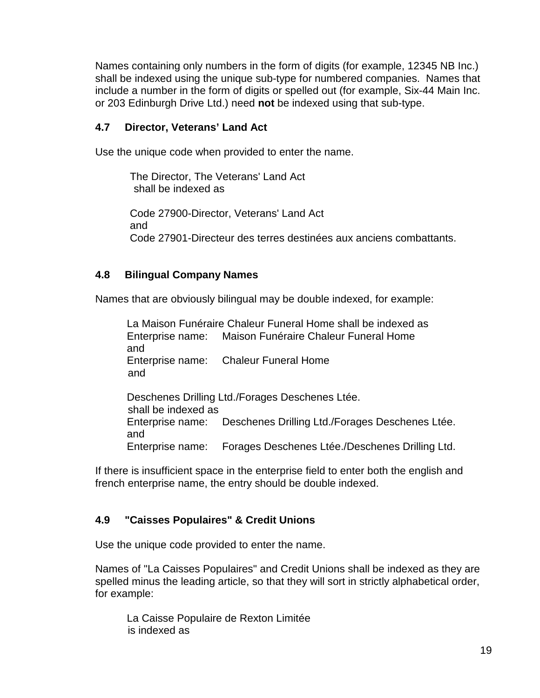Names containing only numbers in the form of digits (for example, 12345 NB Inc.) shall be indexed using the unique sub-type for numbered companies. Names that include a number in the form of digits or spelled out (for example, Six-44 Main Inc. or 203 Edinburgh Drive Ltd.) need **not** be indexed using that sub-type.

#### <span id="page-22-0"></span>**4.7 Director, Veterans' Land Act**

Use the unique code when provided to enter the name.

The Director, The Veterans' Land Act shall be indexed as

Code 27900-Director, Veterans' Land Act and Code 27901-Directeur des terres destinées aux anciens combattants.

## <span id="page-22-1"></span>**4.8 Bilingual Company Names**

Names that are obviously bilingual may be double indexed, for example:

La Maison Funéraire Chaleur Funeral Home shall be indexed as Enterprise name: Maison Funéraire Chaleur Funeral Home and Enterprise name: Chaleur Funeral Home and Deschenes Drilling Ltd./Forages Deschenes Ltée. shall be indexed as Enterprise name: Deschenes Drilling Ltd./Forages Deschenes Ltée. and Enterprise name: Forages Deschenes Ltée./Deschenes Drilling Ltd.

If there is insufficient space in the enterprise field to enter both the english and french enterprise name, the entry should be double indexed.

## <span id="page-22-2"></span>**4.9 "Caisses Populaires" & Credit Unions**

Use the unique code provided to enter the name.

Names of "La Caisses Populaires" and Credit Unions shall be indexed as they are spelled minus the leading article, so that they will sort in strictly alphabetical order, for example:

La Caisse Populaire de Rexton Limitée is indexed as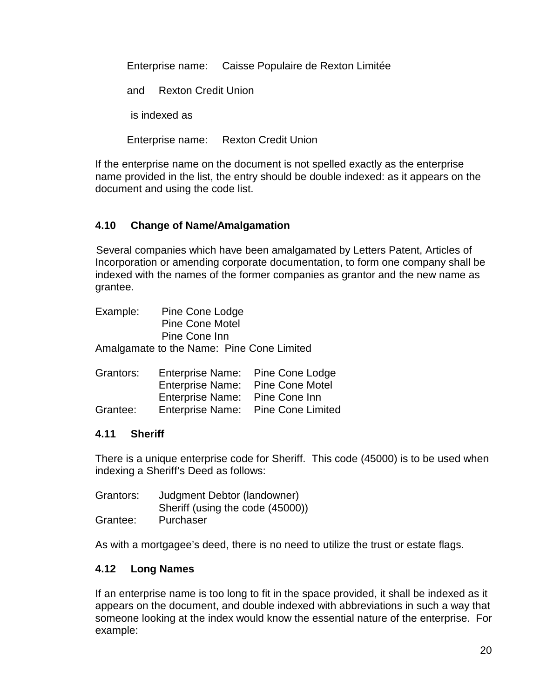Enterprise name: Caisse Populaire de Rexton Limitée

and Rexton Credit Union

is indexed as

Enterprise name: Rexton Credit Union

If the enterprise name on the document is not spelled exactly as the enterprise name provided in the list, the entry should be double indexed: as it appears on the document and using the code list.

# <span id="page-23-0"></span>**4.10 Change of Name/Amalgamation**

 Several companies which have been amalgamated by Letters Patent, Articles of Incorporation or amending corporate documentation, to form one company shall be indexed with the names of the former companies as grantor and the new name as grantee.

| Example: | Pine Cone Lodge        |                                           |
|----------|------------------------|-------------------------------------------|
|          | <b>Pine Cone Motel</b> |                                           |
|          | Pine Cone Inn          |                                           |
|          |                        | Amalgamate to the Name: Pine Cone Limited |

| Grantors: |                                  | Enterprise Name: Pine Cone Lodge   |
|-----------|----------------------------------|------------------------------------|
|           | Enterprise Name: Pine Cone Motel |                                    |
|           | Enterprise Name: Pine Cone Inn   |                                    |
| Grantee:  |                                  | Enterprise Name: Pine Cone Limited |

## <span id="page-23-1"></span>**4.11 Sheriff**

There is a unique enterprise code for Sheriff. This code (45000) is to be used when indexing a Sheriff's Deed as follows:

| Grantors: | Judgment Debtor (landowner)      |
|-----------|----------------------------------|
|           | Sheriff (using the code (45000)) |
| Grantee:  | Purchaser                        |

As with a mortgagee's deed, there is no need to utilize the trust or estate flags.

## <span id="page-23-2"></span>**4.12 Long Names**

If an enterprise name is too long to fit in the space provided, it shall be indexed as it appears on the document, and double indexed with abbreviations in such a way that someone looking at the index would know the essential nature of the enterprise. For example: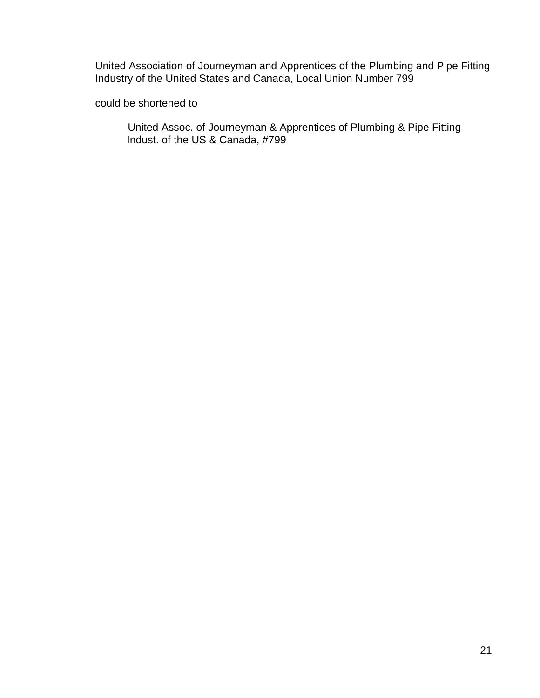United Association of Journeyman and Apprentices of the Plumbing and Pipe Fitting Industry of the United States and Canada, Local Union Number 799

could be shortened to

United Assoc. of Journeyman & Apprentices of Plumbing & Pipe Fitting Indust. of the US & Canada, #799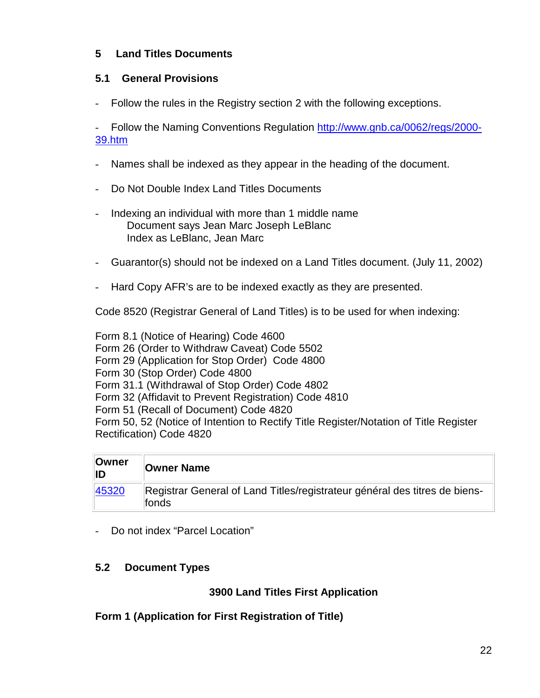## <span id="page-25-0"></span>**5 Land Titles Documents**

## <span id="page-25-1"></span>**5.1 General Provisions**

- Follow the rules in the Registry section 2 with the following exceptions.

- Follow the Naming Conventions Regulation [http://www.gnb.ca/0062/regs/2000-](http://www.gnb.ca/0062/regs/2000-39.htm) [39.htm](http://www.gnb.ca/0062/regs/2000-39.htm)

- Names shall be indexed as they appear in the heading of the document.
- Do Not Double Index Land Titles Documents
- Indexing an individual with more than 1 middle name Document says Jean Marc Joseph LeBlanc Index as LeBlanc, Jean Marc
- Guarantor(s) should not be indexed on a Land Titles document. (July 11, 2002)
- Hard Copy AFR's are to be indexed exactly as they are presented.

Code 8520 (Registrar General of Land Titles) is to be used for when indexing:

Form 8.1 (Notice of Hearing) Code 4600 Form 26 (Order to Withdraw Caveat) Code 5502 Form 29 (Application for Stop Order) Code 4800 Form 30 (Stop Order) Code 4800 Form 31.1 (Withdrawal of Stop Order) Code 4802 Form 32 (Affidavit to Prevent Registration) Code 4810 Form 51 (Recall of Document) Code 4820 Form 50, 52 (Notice of Intention to Rectify Title Register/Notation of Title Register Rectification) Code 4820

| ∣Owner<br>IID | <b>Owner Name</b>                                                                   |
|---------------|-------------------------------------------------------------------------------------|
| 45320         | Registrar General of Land Titles/registrateur général des titres de biens-<br>fonds |

- Do not index "Parcel Location"

## <span id="page-25-2"></span>**5.2 Document Types**

## **3900 Land Titles First Application**

<span id="page-25-3"></span>**Form 1 (Application for First Registration of Title)**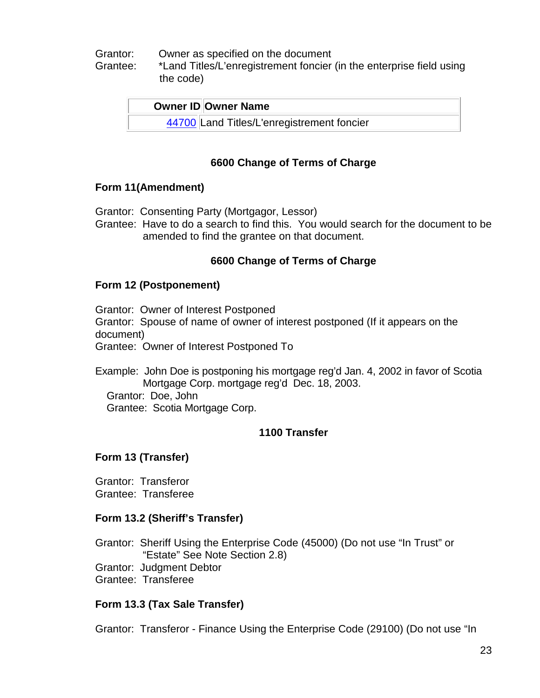#### Grantor: Owner as specified on the document

Grantee: \*Land Titles/L'enregistrement foncier (in the enterprise field using the code)

| <b>Owner ID Owner Name</b>                 |
|--------------------------------------------|
| 44700 Land Titles/L'enregistrement foncier |

## **6600 Change of Terms of Charge**

#### <span id="page-26-0"></span>**Form 11(Amendment)**

- Grantor: Consenting Party (Mortgagor, Lessor)
- Grantee: Have to do a search to find this. You would search for the document to be amended to find the grantee on that document.

## **6600 Change of Terms of Charge**

#### <span id="page-26-1"></span>**Form 12 (Postponement)**

Grantor: Owner of Interest Postponed Grantor: Spouse of name of owner of interest postponed (If it appears on the document)

Grantee: Owner of Interest Postponed To

Example: John Doe is postponing his mortgage reg'd Jan. 4, 2002 in favor of Scotia Mortgage Corp. mortgage reg'd Dec. 18, 2003.

Grantor: Doe, John

Grantee: Scotia Mortgage Corp.

## **1100 Transfer**

## <span id="page-26-2"></span>**Form 13 (Transfer)**

Grantor: Transferor Grantee: Transferee

## <span id="page-26-3"></span>**Form 13.2 (Sheriff's Transfer)**

Grantor: Sheriff Using the Enterprise Code (45000) (Do not use "In Trust" or "Estate" See Note Section 2.8)

- Grantor: Judgment Debtor
- Grantee: Transferee

## <span id="page-26-4"></span>**Form 13.3 (Tax Sale Transfer)**

Grantor: Transferor - Finance Using the Enterprise Code (29100) (Do not use "In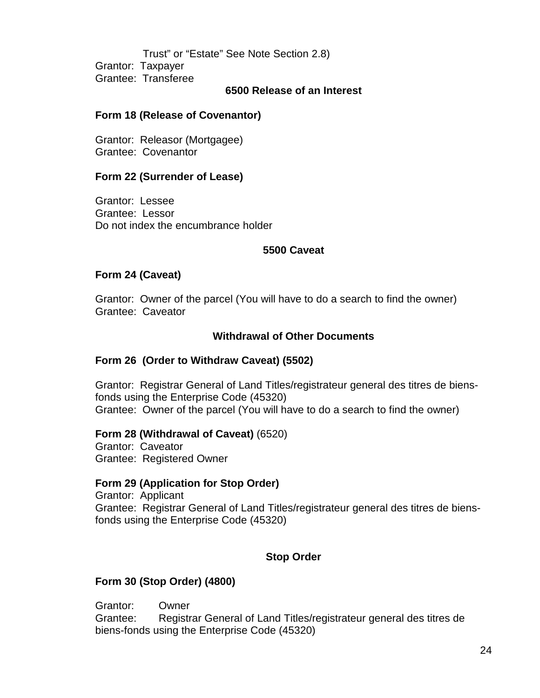Trust" or "Estate" See Note Section 2.8) Grantor: Taxpayer Grantee: Transferee

#### **6500 Release of an Interest**

#### <span id="page-27-0"></span>**Form 18 (Release of Covenantor)**

Grantor: Releasor (Mortgagee) Grantee: Covenantor

#### <span id="page-27-1"></span>**Form 22 (Surrender of Lease)**

Grantor: Lessee Grantee: Lessor Do not index the encumbrance holder

#### **5500 Caveat**

#### <span id="page-27-2"></span>**Form 24 (Caveat)**

Grantor: Owner of the parcel (You will have to do a search to find the owner) Grantee: Caveator

#### **Withdrawal of Other Documents**

#### <span id="page-27-3"></span>**Form 26 (Order to Withdraw Caveat) (5502)**

Grantor: Registrar General of Land Titles/registrateur general des titres de biensfonds using the Enterprise Code (45320) Grantee: Owner of the parcel (You will have to do a search to find the owner)

#### <span id="page-27-4"></span>**Form 28 (Withdrawal of Caveat)** (6520)

Grantor: Caveator Grantee: Registered Owner

#### <span id="page-27-5"></span>**Form 29 (Application for Stop Order)**

Grantor: Applicant Grantee: Registrar General of Land Titles/registrateur general des titres de biensfonds using the Enterprise Code (45320)

#### **Stop Order**

#### <span id="page-27-6"></span>**Form 30 (Stop Order) (4800)**

Grantor: Owner Grantee: Registrar General of Land Titles/registrateur general des titres de biens-fonds using the Enterprise Code (45320)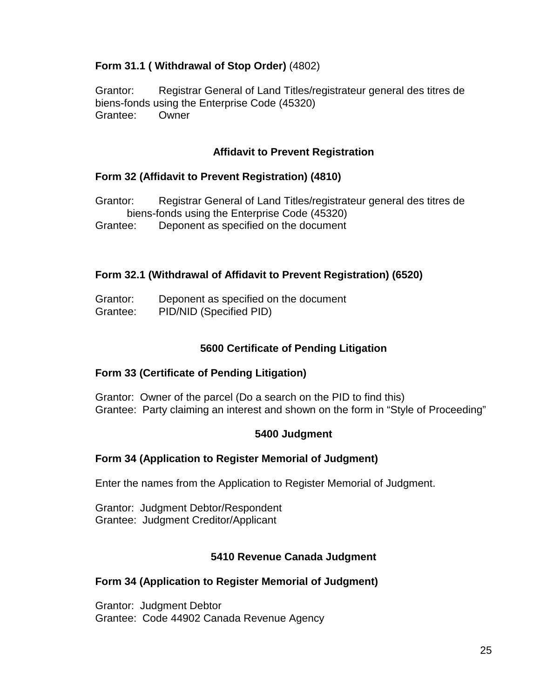## <span id="page-28-0"></span>**Form 31.1 ( Withdrawal of Stop Order)** (4802)

Grantor: Registrar General of Land Titles/registrateur general des titres de biens-fonds using the Enterprise Code (45320) Grantee: Owner

## **Affidavit to Prevent Registration**

## <span id="page-28-1"></span>**Form 32 (Affidavit to Prevent Registration) (4810)**

Grantor: Registrar General of Land Titles/registrateur general des titres de biens-fonds using the Enterprise Code (45320) Grantee: Deponent as specified on the document

#### <span id="page-28-2"></span>**Form 32.1 (Withdrawal of Affidavit to Prevent Registration) (6520)**

Grantor: Deponent as specified on the document Grantee: PID/NID (Specified PID)

## **5600 Certificate of Pending Litigation**

#### <span id="page-28-3"></span>**Form 33 (Certificate of Pending Litigation)**

Grantor: Owner of the parcel (Do a search on the PID to find this) Grantee: Party claiming an interest and shown on the form in "Style of Proceeding"

#### **5400 Judgment**

#### <span id="page-28-4"></span>**Form 34 (Application to Register Memorial of Judgment)**

Enter the names from the Application to Register Memorial of Judgment.

Grantor: Judgment Debtor/Respondent Grantee: Judgment Creditor/Applicant

#### **5410 Revenue Canada Judgment**

#### **Form 34 (Application to Register Memorial of Judgment)**

Grantor: Judgment Debtor Grantee: Code 44902 Canada Revenue Agency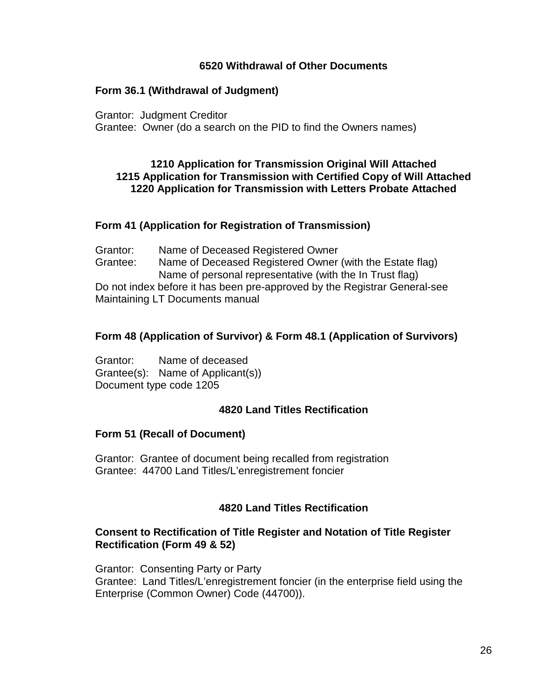#### **6520 Withdrawal of Other Documents**

#### <span id="page-29-0"></span>**Form 36.1 (Withdrawal of Judgment)**

Grantor: Judgment Creditor

Grantee: Owner (do a search on the PID to find the Owners names)

#### **1210 Application for Transmission Original Will Attached 1215 Application for Transmission with Certified Copy of Will Attached 1220 Application for Transmission with Letters Probate Attached**

#### <span id="page-29-1"></span>**Form 41 (Application for Registration of Transmission)**

Grantor: Name of Deceased Registered Owner Grantee: Name of Deceased Registered Owner (with the Estate flag) Name of personal representative (with the In Trust flag) Do not index before it has been pre-approved by the Registrar General-see Maintaining LT Documents manual

#### <span id="page-29-2"></span>**Form 48 (Application of Survivor) & Form 48.1 (Application of Survivors)**

Grantor: Name of deceased Grantee(s): Name of Applicant(s)) Document type code 1205

#### **4820 Land Titles Rectification**

#### <span id="page-29-3"></span>**Form 51 (Recall of Document)**

Grantor: Grantee of document being recalled from registration Grantee: 44700 Land Titles/L'enregistrement foncier

#### **4820 Land Titles Rectification**

#### <span id="page-29-4"></span>**Consent to Rectification of Title Register and Notation of Title Register Rectification (Form 49 & 52)**

Grantor: Consenting Party or Party Grantee: Land Titles/L'enregistrement foncier (in the enterprise field using the Enterprise (Common Owner) Code (44700)).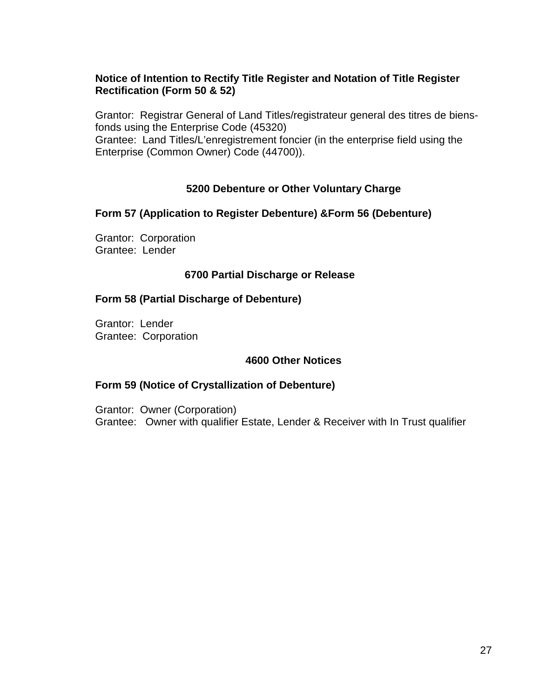## <span id="page-30-1"></span><span id="page-30-0"></span>**Notice of Intention to Rectify Title Register and Notation of Title Register Rectification (Form 50 & 52)**

Grantor: Registrar General of Land Titles/registrateur general des titres de biensfonds using the Enterprise Code (45320) Grantee: Land Titles/L'enregistrement foncier (in the enterprise field using the

Enterprise (Common Owner) Code (44700)).

# **5200 Debenture or Other Voluntary Charge**

## <span id="page-30-2"></span>**Form 57 (Application to Register Debenture) &Form 56 (Debenture)**

Grantor: Corporation Grantee: Lender

#### **6700 Partial Discharge or Release**

#### <span id="page-30-3"></span>**Form 58 (Partial Discharge of Debenture)**

Grantor: Lender Grantee: Corporation

## **4600 Other Notices**

#### <span id="page-30-4"></span>**Form 59 (Notice of Crystallization of Debenture)**

Grantor: Owner (Corporation) Grantee: Owner with qualifier Estate, Lender & Receiver with In Trust qualifier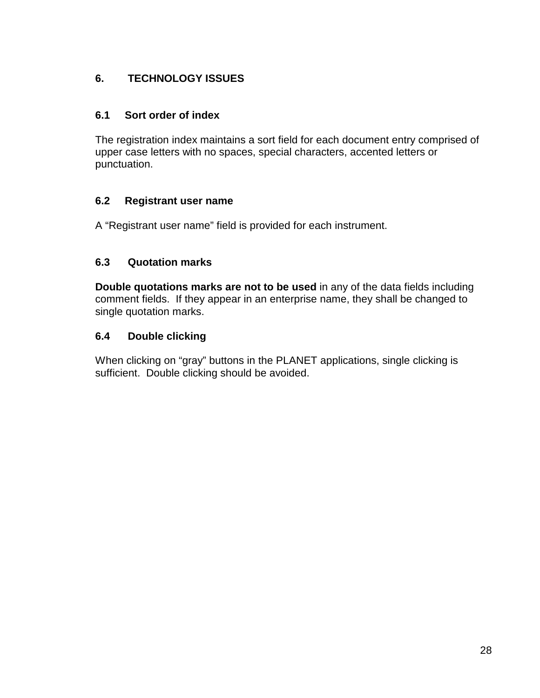# <span id="page-31-0"></span>**6. TECHNOLOGY ISSUES**

## <span id="page-31-1"></span>**6.1 Sort order of index**

The registration index maintains a sort field for each document entry comprised of upper case letters with no spaces, special characters, accented letters or punctuation.

# <span id="page-31-2"></span>**6.2 Registrant user name**

A "Registrant user name" field is provided for each instrument.

# <span id="page-31-3"></span>**6.3 Quotation marks**

**Double quotations marks are not to be used** in any of the data fields including comment fields. If they appear in an enterprise name, they shall be changed to single quotation marks.

# <span id="page-31-4"></span>**6.4 Double clicking**

When clicking on "gray" buttons in the PLANET applications, single clicking is sufficient. Double clicking should be avoided.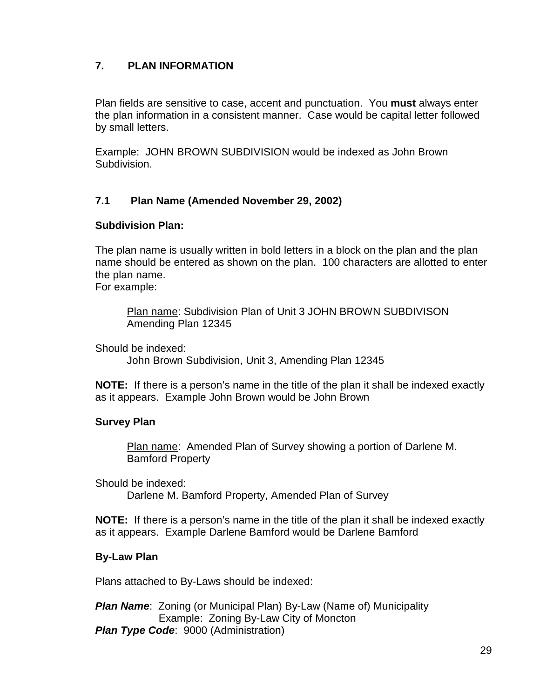## <span id="page-32-0"></span>**7. PLAN INFORMATION**

Plan fields are sensitive to case, accent and punctuation. You **must** always enter the plan information in a consistent manner. Case would be capital letter followed by small letters.

Example: JOHN BROWN SUBDIVISION would be indexed as John Brown Subdivision.

## <span id="page-32-1"></span>**7.1 Plan Name (Amended November 29, 2002)**

#### **Subdivision Plan:**

The plan name is usually written in bold letters in a block on the plan and the plan name should be entered as shown on the plan. 100 characters are allotted to enter the plan name.

For example:

Plan name: Subdivision Plan of Unit 3 JOHN BROWN SUBDIVISON Amending Plan 12345

Should be indexed:

John Brown Subdivision, Unit 3, Amending Plan 12345

**NOTE:** If there is a person's name in the title of the plan it shall be indexed exactly as it appears. Example John Brown would be John Brown

## **Survey Plan**

Plan name: Amended Plan of Survey showing a portion of Darlene M. Bamford Property

Should be indexed: Darlene M. Bamford Property, Amended Plan of Survey

**NOTE:** If there is a person's name in the title of the plan it shall be indexed exactly as it appears. Example Darlene Bamford would be Darlene Bamford

## **By-Law Plan**

Plans attached to By-Laws should be indexed:

*Plan Name: Zoning (or Municipal Plan) By-Law (Name of) Municipality* Example: Zoning By-Law City of Moncton *Plan Type Code: 9000 (Administration)*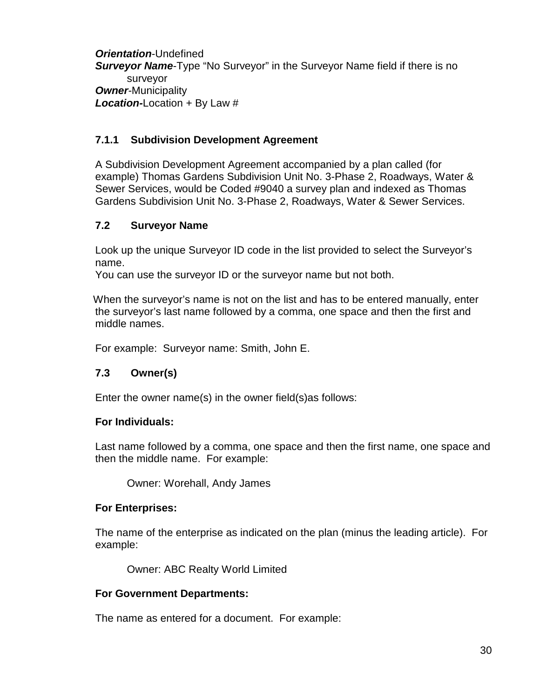*Orientation*-Undefined

*Surveyor Name*-Type "No Surveyor" in the Surveyor Name field if there is no surveyor *Owner-*Municipality *Location-*Location + By Law #

# <span id="page-33-0"></span>**7.1.1 Subdivision Development Agreement**

A Subdivision Development Agreement accompanied by a plan called (for example) Thomas Gardens Subdivision Unit No. 3-Phase 2, Roadways, Water & Sewer Services, would be Coded #9040 a survey plan and indexed as Thomas Gardens Subdivision Unit No. 3-Phase 2, Roadways, Water & Sewer Services.

# <span id="page-33-1"></span>**7.2 Surveyor Name**

Look up the unique Surveyor ID code in the list provided to select the Surveyor's name.

You can use the surveyor ID or the surveyor name but not both.

 When the surveyor's name is not on the list and has to be entered manually, enter the surveyor's last name followed by a comma, one space and then the first and middle names.

For example: Surveyor name: Smith, John E.

# <span id="page-33-2"></span>**7.3 Owner(s)**

Enter the owner name(s) in the owner field(s)as follows:

## **For Individuals:**

Last name followed by a comma, one space and then the first name, one space and then the middle name. For example:

Owner: Worehall, Andy James

## **For Enterprises:**

The name of the enterprise as indicated on the plan (minus the leading article). For example:

Owner: ABC Realty World Limited

## **For Government Departments:**

The name as entered for a document. For example: